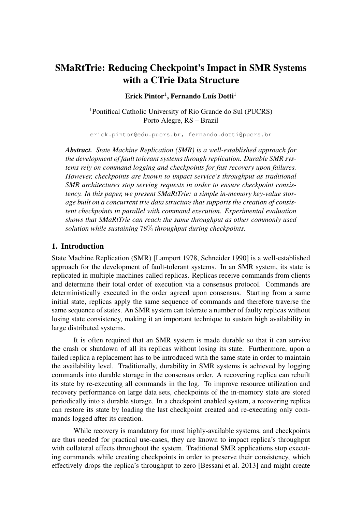# SMaRtTrie: Reducing Checkpoint's Impact in SMR Systems with a CTrie Data Structure

 $E$ rick Pintor<sup>1</sup>, Fernando Luís Dotti<sup>1</sup>

<sup>1</sup>Pontifical Catholic University of Rio Grande do Sul (PUCRS) Porto Alegre, RS – Brazil

erick.pintor@edu.pucrs.br, fernando.dotti@pucrs.br

*Abstract. State Machine Replication (SMR) is a well-established approach for the development of fault tolerant systems through replication. Durable SMR systems rely on command logging and checkpoints for fast recovery upon failures. However, checkpoints are known to impact service's throughput as traditional SMR architectures stop serving requests in order to ensure checkpoint consistency. In this paper, we present SMaRtTrie: a simple in-memory key-value storage built on a concurrent trie data structure that supports the creation of consistent checkpoints in parallel with command execution. Experimental evaluation shows that SMaRtTrie can reach the same throughput as other commonly used solution while sustaining* 78% *throughput during checkpoints.*

#### 1. Introduction

State Machine Replication (SMR) [Lamport 1978, Schneider 1990] is a well-established approach for the development of fault-tolerant systems. In an SMR system, its state is replicated in multiple machines called replicas. Replicas receive commands from clients and determine their total order of execution via a consensus protocol. Commands are deterministically executed in the order agreed upon consensus. Starting from a same initial state, replicas apply the same sequence of commands and therefore traverse the same sequence of states. An SMR system can tolerate a number of faulty replicas without losing state consistency, making it an important technique to sustain high availability in large distributed systems.

It is often required that an SMR system is made durable so that it can survive the crash or shutdown of all its replicas without losing its state. Furthermore, upon a failed replica a replacement has to be introduced with the same state in order to maintain the availability level. Traditionally, durability in SMR systems is achieved by logging commands into durable storage in the consensus order. A recovering replica can rebuilt its state by re-executing all commands in the log. To improve resource utilization and recovery performance on large data sets, checkpoints of the in-memory state are stored periodically into a durable storage. In a checkpoint enabled system, a recovering replica can restore its state by loading the last checkpoint created and re-executing only commands logged after its creation.

While recovery is mandatory for most highly-available systems, and checkpoints are thus needed for practical use-cases, they are known to impact replica's throughput with collateral effects throughout the system. Traditional SMR applications stop executing commands while creating checkpoints in order to preserve their consistency, which effectively drops the replica's throughput to zero [Bessani et al. 2013] and might create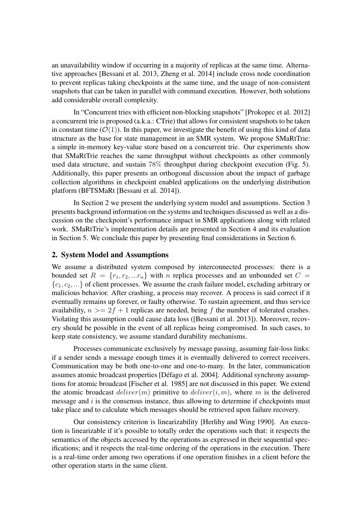an unavailability window if occurring in a majority of replicas at the same time. Alternative approaches [Bessani et al. 2013, Zheng et al. 2014] include cross node coordination to prevent replicas taking checkpoints at the same time, and the usage of non-consistent snapshots that can be taken in parallel with command execution. However, both solutions add considerable overall complexity.

In "Concurrent tries with efficient non-blocking snapshots" [Prokopec et al. 2012] a concurrent trie is proposed (a.k.a.: CTrie) that allows for consistent snapshots to be taken in constant time  $(\mathcal{O}(1))$ . In this paper, we investigate the benefit of using this kind of data structure as the base for state management in an SMR system. We propose SMaRtTrie: a simple in-memory key-value store based on a concurrent trie. Our experiments show that SMaRtTrie reaches the same throughput without checkpoints as other commonly used data structure, and sustain 78% throughput during checkpoint execution (Fig. 5). Additionally, this paper presents an orthogonal discussion about the impact of garbage collection algorithms in checkpoint enabled applications on the underlying distribution platform (BFTSMaRt [Bessani et al. 2014]).

In Section 2 we present the underlying system model and assumptions. Section 3 presents background information on the systems and techniques discussed as well as a discussion on the checkpoint's performance impact in SMR applications along with related work. SMaRtTrie's implementation details are presented in Section 4 and its evaluation in Section 5. We conclude this paper by presenting final considerations in Section 6.

#### 2. System Model and Assumptions

We assume a distributed system composed by interconnected processes: there is a bounded set  $R = \{r_1, r_2, ... r_n\}$  with n replica processes and an unbounded set  $C =$  ${c_1, c_2, \ldots}$  of client processes. We assume the crash failure model, excluding arbitrary or malicious behavior. After crashing, a process may recover. A process is said correct if it eventually remains up forever, or faulty otherwise. To sustain agreement, and thus service availability,  $n \geq 2f + 1$  replicas are needed, being f the number of tolerated crashes. Violating this assumption could cause data loss ([Bessani et al. 2013]). Moreover, recovery should be possible in the event of all replicas being compromised. In such cases, to keep state consistency, we assume standard durability mechanisms.

Processes communicate exclusively by message passing, assuming fair-loss links: if a sender sends a message enough times it is eventually delivered to correct receivers. Communication may be both one-to-one and one-to-many. In the later, communication assumes atomic broadcast properties [Défago et al. 2004]. Additional synchrony assumptions for atomic broadcast [Fischer et al. 1985] are not discussed in this paper. We extend the atomic broadcast  $deliver(m)$  primitive to  $deliver(i, m)$ , where m is the delivered message and  $i$  is the consensus instance, thus allowing to determine if checkpoints must take place and to calculate which messages should be retrieved upon failure recovery.

Our consistency criterion is linearizability [Herlihy and Wing 1990]. An execution is linearizable if it's possible to totally order the operations such that: it respects the semantics of the objects accessed by the operations as expressed in their sequential specifications; and it respects the real-time ordering of the operations in the execution. There is a real-time order among two operations if one operation finishes in a client before the other operation starts in the same client.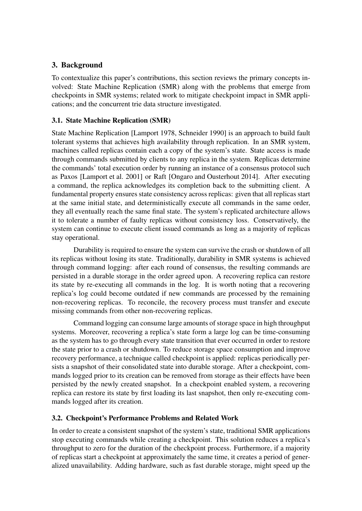# 3. Background

To contextualize this paper's contributions, this section reviews the primary concepts involved: State Machine Replication (SMR) along with the problems that emerge from checkpoints in SMR systems; related work to mitigate checkpoint impact in SMR applications; and the concurrent trie data structure investigated.

# 3.1. State Machine Replication (SMR)

State Machine Replication [Lamport 1978, Schneider 1990] is an approach to build fault tolerant systems that achieves high availability through replication. In an SMR system, machines called replicas contain each a copy of the system's state. State access is made through commands submitted by clients to any replica in the system. Replicas determine the commands' total execution order by running an instance of a consensus protocol such as Paxos [Lamport et al. 2001] or Raft [Ongaro and Ousterhout 2014]. After executing a command, the replica acknowledges its completion back to the submitting client. A fundamental property ensures state consistency across replicas: given that all replicas start at the same initial state, and deterministically execute all commands in the same order, they all eventually reach the same final state. The system's replicated architecture allows it to tolerate a number of faulty replicas without consistency loss. Conservatively, the system can continue to execute client issued commands as long as a majority of replicas stay operational.

Durability is required to ensure the system can survive the crash or shutdown of all its replicas without losing its state. Traditionally, durability in SMR systems is achieved through command logging: after each round of consensus, the resulting commands are persisted in a durable storage in the order agreed upon. A recovering replica can restore its state by re-executing all commands in the log. It is worth noting that a recovering replica's log could become outdated if new commands are processed by the remaining non-recovering replicas. To reconcile, the recovery process must transfer and execute missing commands from other non-recovering replicas.

Command logging can consume large amounts of storage space in high throughput systems. Moreover, recovering a replica's state form a large log can be time-consuming as the system has to go through every state transition that ever occurred in order to restore the state prior to a crash or shutdown. To reduce storage space consumption and improve recovery performance, a technique called checkpoint is applied: replicas periodically persists a snapshot of their consolidated state into durable storage. After a checkpoint, commands logged prior to its creation can be removed from storage as their effects have been persisted by the newly created snapshot. In a checkpoint enabled system, a recovering replica can restore its state by first loading its last snapshot, then only re-executing commands logged after its creation.

# 3.2. Checkpoint's Performance Problems and Related Work

In order to create a consistent snapshot of the system's state, traditional SMR applications stop executing commands while creating a checkpoint. This solution reduces a replica's throughput to zero for the duration of the checkpoint process. Furthermore, if a majority of replicas start a checkpoint at approximately the same time, it creates a period of generalized unavailability. Adding hardware, such as fast durable storage, might speed up the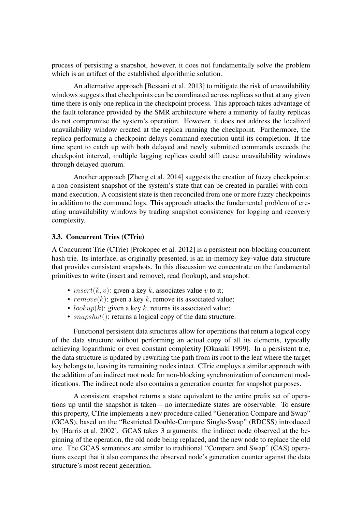process of persisting a snapshot, however, it does not fundamentally solve the problem which is an artifact of the established algorithmic solution.

An alternative approach [Bessani et al. 2013] to mitigate the risk of unavailability windows suggests that checkpoints can be coordinated across replicas so that at any given time there is only one replica in the checkpoint process. This approach takes advantage of the fault tolerance provided by the SMR architecture where a minority of faulty replicas do not compromise the system's operation. However, it does not address the localized unavailability window created at the replica running the checkpoint. Furthermore, the replica performing a checkpoint delays command execution until its completion. If the time spent to catch up with both delayed and newly submitted commands exceeds the checkpoint interval, multiple lagging replicas could still cause unavailability windows through delayed quorum.

Another approach [Zheng et al. 2014] suggests the creation of fuzzy checkpoints: a non-consistent snapshot of the system's state that can be created in parallel with command execution. A consistent state is then reconciled from one or more fuzzy checkpoints in addition to the command logs. This approach attacks the fundamental problem of creating unavailability windows by trading snapshot consistency for logging and recovery complexity.

#### 3.3. Concurrent Tries (CTrie)

A Concurrent Trie (CTrie) [Prokopec et al. 2012] is a persistent non-blocking concurrent hash trie. Its interface, as originally presented, is an in-memory key-value data structure that provides consistent snapshots. In this discussion we concentrate on the fundamental primitives to write (insert and remove), read (lookup), and snapshot:

- insert $(k, v)$ : given a key k, associates value v to it;
- $remove(k)$ : given a key k, remove its associated value;
- lookup(k): given a key k, returns its associated value;
- $snanshot$  : returns a logical copy of the data structure.

Functional persistent data structures allow for operations that return a logical copy of the data structure without performing an actual copy of all its elements, typically achieving logarithmic or even constant complexity [Okasaki 1999]. In a persistent trie, the data structure is updated by rewriting the path from its root to the leaf where the target key belongs to, leaving its remaining nodes intact. CTrie employs a similar approach with the addition of an indirect root node for non-blocking synchronization of concurrent modifications. The indirect node also contains a generation counter for snapshot purposes.

A consistent snapshot returns a state equivalent to the entire prefix set of operations up until the snapshot is taken – no intermediate states are observable. To ensure this property, CTrie implements a new procedure called "Generation Compare and Swap" (GCAS), based on the "Restricted Double-Compare Single-Swap" (RDCSS) introduced by [Harris et al. 2002]. GCAS takes 3 arguments: the indirect node observed at the beginning of the operation, the old node being replaced, and the new node to replace the old one. The GCAS semantics are similar to traditional "Compare and Swap" (CAS) operations except that it also compares the observed node's generation counter against the data structure's most recent generation.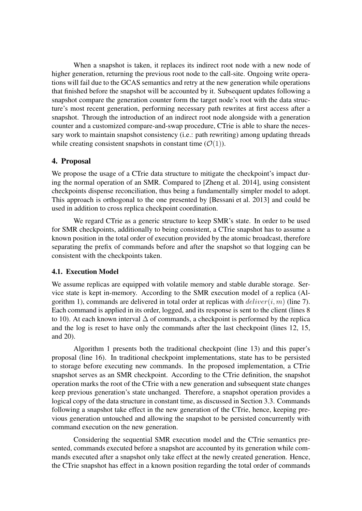When a snapshot is taken, it replaces its indirect root node with a new node of higher generation, returning the previous root node to the call-site. Ongoing write operations will fail due to the GCAS semantics and retry at the new generation while operations that finished before the snapshot will be accounted by it. Subsequent updates following a snapshot compare the generation counter form the target node's root with the data structure's most recent generation, performing necessary path rewrites at first access after a snapshot. Through the introduction of an indirect root node alongside with a generation counter and a customized compare-and-swap procedure, CTrie is able to share the necessary work to maintain snapshot consistency (i.e.: path rewriting) among updating threads while creating consistent snapshots in constant time  $(\mathcal{O}(1))$ .

# 4. Proposal

We propose the usage of a CTrie data structure to mitigate the checkpoint's impact during the normal operation of an SMR. Compared to [Zheng et al. 2014], using consistent checkpoints dispense reconciliation, thus being a fundamentally simpler model to adopt. This approach is orthogonal to the one presented by [Bessani et al. 2013] and could be used in addition to cross replica checkpoint coordination.

We regard CTrie as a generic structure to keep SMR's state. In order to be used for SMR checkpoints, additionally to being consistent, a CTrie snapshot has to assume a known position in the total order of execution provided by the atomic broadcast, therefore separating the prefix of commands before and after the snapshot so that logging can be consistent with the checkpoints taken.

# 4.1. Execution Model

We assume replicas are equipped with volatile memory and stable durable storage. Service state is kept in-memory. According to the SMR execution model of a replica (Algorithm 1), commands are delivered in total order at replicas with  $deliver(i, m)$  (line 7). Each command is applied in its order, logged, and its response is sent to the client (lines 8 to 10). At each known interval  $\Delta$  of commands, a checkpoint is performed by the replica and the log is reset to have only the commands after the last checkpoint (lines 12, 15, and 20).

Algorithm 1 presents both the traditional checkpoint (line 13) and this paper's proposal (line 16). In traditional checkpoint implementations, state has to be persisted to storage before executing new commands. In the proposed implementation, a CTrie snapshot serves as an SMR checkpoint. According to the CTrie definition, the snapshot operation marks the root of the CTrie with a new generation and subsequent state changes keep previous generation's state unchanged. Therefore, a snapshot operation provides a logical copy of the data structure in constant time, as discussed in Section 3.3. Commands following a snapshot take effect in the new generation of the CTrie, hence, keeping previous generation untouched and allowing the snapshot to be persisted concurrently with command execution on the new generation.

Considering the sequential SMR execution model and the CTrie semantics presented, commands executed before a snapshot are accounted by its generation while commands executed after a snapshot only take effect at the newly created generation. Hence, the CTrie snapshot has effect in a known position regarding the total order of commands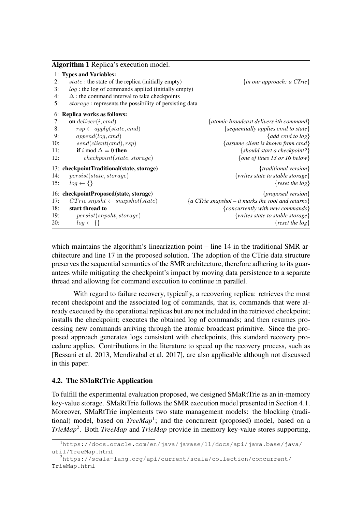|     | <b>Algorithm 1</b> Replica's execution model.                  |                                                                                                                                                                                                                                                                                                                                                                                                                                                                                                      |  |  |  |  |  |  |
|-----|----------------------------------------------------------------|------------------------------------------------------------------------------------------------------------------------------------------------------------------------------------------------------------------------------------------------------------------------------------------------------------------------------------------------------------------------------------------------------------------------------------------------------------------------------------------------------|--|--|--|--|--|--|
|     | 1: Types and Variables:                                        |                                                                                                                                                                                                                                                                                                                                                                                                                                                                                                      |  |  |  |  |  |  |
| 2:  | state: the state of the replica (initially empty)              | $\{in our approach: a CTrie\}$                                                                                                                                                                                                                                                                                                                                                                                                                                                                       |  |  |  |  |  |  |
| 3:  | $log$ : the log of commands applied (initially empty)          |                                                                                                                                                                                                                                                                                                                                                                                                                                                                                                      |  |  |  |  |  |  |
| 4:  | $\Delta$ : the command interval to take checkpoints            |                                                                                                                                                                                                                                                                                                                                                                                                                                                                                                      |  |  |  |  |  |  |
| 5:  | <i>storage</i> : represents the possibility of persisting data |                                                                                                                                                                                                                                                                                                                                                                                                                                                                                                      |  |  |  |  |  |  |
| 6:  | Replica works as follows:                                      |                                                                                                                                                                                                                                                                                                                                                                                                                                                                                                      |  |  |  |  |  |  |
| 7:  | <b>on</b> deliver( <i>i</i> , cmd)                             | {atomic broadcast delivers ith command}                                                                                                                                                                                                                                                                                                                                                                                                                                                              |  |  |  |  |  |  |
| 8:  | $rsp \leftarrow apply(state, cmd)$                             | ${sequently applies cmd to state}$                                                                                                                                                                                                                                                                                                                                                                                                                                                                   |  |  |  |  |  |  |
| 9:  | append(log, cmd)                                               | $\{add\,cmd\,to\,log\}$                                                                                                                                                                                                                                                                                                                                                                                                                                                                              |  |  |  |  |  |  |
| 10: | send(client(cmd), rsp)                                         | {assume client is known from $cmd$ }                                                                                                                                                                                                                                                                                                                                                                                                                                                                 |  |  |  |  |  |  |
| 11: | if i mod $\Delta = 0$ then                                     | $\{should start a check point?\}$                                                                                                                                                                                                                                                                                                                                                                                                                                                                    |  |  |  |  |  |  |
| 12: | checkpoint(state, storage)                                     | {one of lines 13 or 16 below}                                                                                                                                                                                                                                                                                                                                                                                                                                                                        |  |  |  |  |  |  |
|     | 13: checkpointTraditional(state, storage)                      | ${traditional version}$                                                                                                                                                                                                                                                                                                                                                                                                                                                                              |  |  |  |  |  |  |
| 14: | persist(state, storage)                                        | {writes state to stable storage}                                                                                                                                                                                                                                                                                                                                                                                                                                                                     |  |  |  |  |  |  |
| 15: | $log \leftarrow \{\}$                                          | { $reset the log$ }                                                                                                                                                                                                                                                                                                                                                                                                                                                                                  |  |  |  |  |  |  |
|     | 16: checkpointProposed(state, storage)                         | {proposed version}                                                                                                                                                                                                                                                                                                                                                                                                                                                                                   |  |  |  |  |  |  |
| 17: | $CTrie$ snpsht $\leftarrow$ snapshot(state)                    | $\{a \text{ } C \text{ } T \text{ } r \text{ } a \text{ } s \text{ } n \text{ } a \text{ } s \text{ } b \text{ } n \text{ } b \text{ } s \text{ } n \text{ } s \text{ } s \text{ } n \text{ } s \text{ } n \text{ } s \text{ } n \text{ } s \text{ } n \text{ } s \text{ } n \text{ } s \text{ } n \text{ } s \text{ } n \text{ } s \text{ } n \text{ } s \text{ } n \text{ } s \text{ } n \text{ } s \text{ } n \text{ } s \text{ } n \text{ } s \text{ } n \text{ } s \text{ } n \text{ } s \text$ |  |  |  |  |  |  |
| 18: | start thread to                                                | {concurrently with new commands}                                                                                                                                                                                                                                                                                                                                                                                                                                                                     |  |  |  |  |  |  |
| 19: | persist(snpsht, storage)                                       | {writes state to stable storage}                                                                                                                                                                                                                                                                                                                                                                                                                                                                     |  |  |  |  |  |  |
| 20: | $log \leftarrow \{\}$                                          | { $reset the log$ }                                                                                                                                                                                                                                                                                                                                                                                                                                                                                  |  |  |  |  |  |  |

which maintains the algorithm's linearization point – line 14 in the traditional SMR architecture and line 17 in the proposed solution. The adoption of the CTrie data structure preserves the sequential semantics of the SMR architecture, therefore adhering to its guarantees while mitigating the checkpoint's impact by moving data persistence to a separate thread and allowing for command execution to continue in parallel.

With regard to failure recovery, typically, a recovering replica: retrieves the most recent checkpoint and the associated log of commands, that is, commands that were already executed by the operational replicas but are not included in the retrieved checkpoint; installs the checkpoint; executes the obtained log of commands; and then resumes processing new commands arriving through the atomic broadcast primitive. Since the proposed approach generates logs consistent with checkpoints, this standard recovery procedure applies. Contributions in the literature to speed up the recovery process, such as [Bessani et al. 2013, Mendizabal et al. 2017], are also applicable although not discussed in this paper.

#### 4.2. The SMaRtTrie Application

To fulfill the experimental evaluation proposed, we designed SMaRtTrie as an in-memory key-value storage. SMaRtTrie follows the SMR execution model presented in Section 4.1. Moreover, SMaRtTrie implements two state management models: the blocking (traditional) model, based on *TreeMap*<sup>1</sup>; and the concurrent (proposed) model, based on a *TrieMap*<sup>2</sup> . Both *TreeMap* and *TrieMap* provide in memory key-value stores supporting,

<sup>1</sup>https://docs.oracle.com/en/java/javase/11/docs/api/java.base/java/ util/TreeMap.html

<sup>2</sup>https://scala-lang.org/api/current/scala/collection/concurrent/ TrieMap.html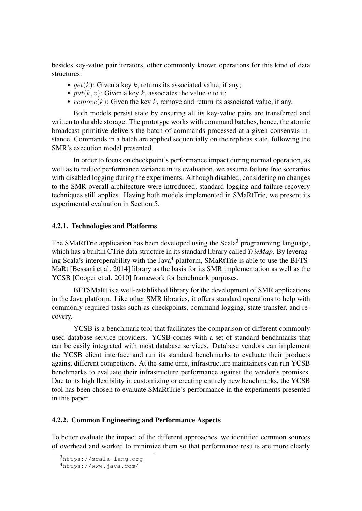besides key-value pair iterators, other commonly known operations for this kind of data structures:

- $qet(k)$ : Given a key k, returns its associated value, if any;
- $put(k, v)$ : Given a key k, associates the value v to it;
- $remove(k)$ : Given the key k, remove and return its associated value, if any.

Both models persist state by ensuring all its key-value pairs are transferred and written to durable storage. The prototype works with command batches, hence, the atomic broadcast primitive delivers the batch of commands processed at a given consensus instance. Commands in a batch are applied sequentially on the replicas state, following the SMR's execution model presented.

In order to focus on checkpoint's performance impact during normal operation, as well as to reduce performance variance in its evaluation, we assume failure free scenarios with disabled logging during the experiments. Although disabled, considering no changes to the SMR overall architecture were introduced, standard logging and failure recovery techniques still applies. Having both models implemented in SMaRtTrie, we present its experimental evaluation in Section 5.

#### 4.2.1. Technologies and Platforms

The SMaRtTrie application has been developed using the Scala<sup>3</sup> programming language, which has a builtin CTrie data structure in its standard library called *TrieMap*. By leveraging Scala's interoperability with the Java<sup>4</sup> platform, SMaRtTrie is able to use the BFTS-MaRt [Bessani et al. 2014] library as the basis for its SMR implementation as well as the YCSB [Cooper et al. 2010] framework for benchmark purposes.

BFTSMaRt is a well-established library for the development of SMR applications in the Java platform. Like other SMR libraries, it offers standard operations to help with commonly required tasks such as checkpoints, command logging, state-transfer, and recovery.

YCSB is a benchmark tool that facilitates the comparison of different commonly used database service providers. YCSB comes with a set of standard benchmarks that can be easily integrated with most database services. Database vendors can implement the YCSB client interface and run its standard benchmarks to evaluate their products against different competitors. At the same time, infrastructure maintainers can run YCSB benchmarks to evaluate their infrastructure performance against the vendor's promises. Due to its high flexibility in customizing or creating entirely new benchmarks, the YCSB tool has been chosen to evaluate SMaRtTrie's performance in the experiments presented in this paper.

#### 4.2.2. Common Engineering and Performance Aspects

To better evaluate the impact of the different approaches, we identified common sources of overhead and worked to minimize them so that performance results are more clearly

<sup>3</sup>https://scala-lang.org

<sup>4</sup>https://www.java.com/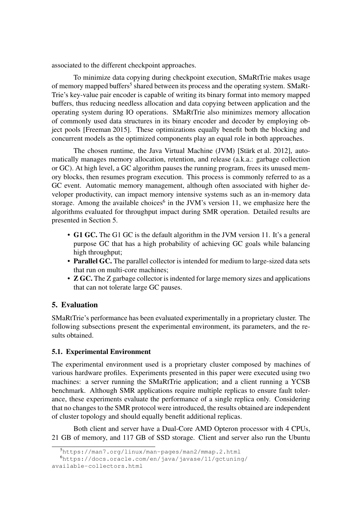associated to the different checkpoint approaches.

To minimize data copying during checkpoint execution, SMaRtTrie makes usage of memory mapped buffers<sup>5</sup> shared between its process and the operating system. SMaRt-Trie's key-value pair encoder is capable of writing its binary format into memory mapped buffers, thus reducing needless allocation and data copying between application and the operating system during IO operations. SMaRtTrie also minimizes memory allocation of commonly used data structures in its binary encoder and decoder by employing object pools [Freeman 2015]. These optimizations equally benefit both the blocking and concurrent models as the optimized components play an equal role in both approaches.

The chosen runtime, the Java Virtual Machine (JVM) [Stärk et al. 2012], automatically manages memory allocation, retention, and release (a.k.a.: garbage collection or GC). At high level, a GC algorithm pauses the running program, frees its unused memory blocks, then resumes program execution. This process is commonly referred to as a GC event. Automatic memory management, although often associated with higher developer productivity, can impact memory intensive systems such as an in-memory data storage. Among the available choices<sup>6</sup> in the JVM's version 11, we emphasize here the algorithms evaluated for throughput impact during SMR operation. Detailed results are presented in Section 5.

- G1 GC. The G1 GC is the default algorithm in the JVM version 11. It's a general purpose GC that has a high probability of achieving GC goals while balancing high throughput;
- Parallel GC. The parallel collector is intended for medium to large-sized data sets that run on multi-core machines;
- **Z GC.** The Z garbage collector is indented for large memory sizes and applications that can not tolerate large GC pauses.

# 5. Evaluation

SMaRtTrie's performance has been evaluated experimentally in a proprietary cluster. The following subsections present the experimental environment, its parameters, and the results obtained.

# 5.1. Experimental Environment

The experimental environment used is a proprietary cluster composed by machines of various hardware profiles. Experiments presented in this paper were executed using two machines: a server running the SMaRtTrie application; and a client running a YCSB benchmark. Although SMR applications require multiple replicas to ensure fault tolerance, these experiments evaluate the performance of a single replica only. Considering that no changes to the SMR protocol were introduced, the results obtained are independent of cluster topology and should equally benefit additional replicas.

Both client and server have a Dual-Core AMD Opteron processor with 4 CPUs, 21 GB of memory, and 117 GB of SSD storage. Client and server also run the Ubuntu

<sup>5</sup>https://man7.org/linux/man-pages/man2/mmap.2.html

<sup>6</sup>https://docs.oracle.com/en/java/javase/11/gctuning/ available-collectors.html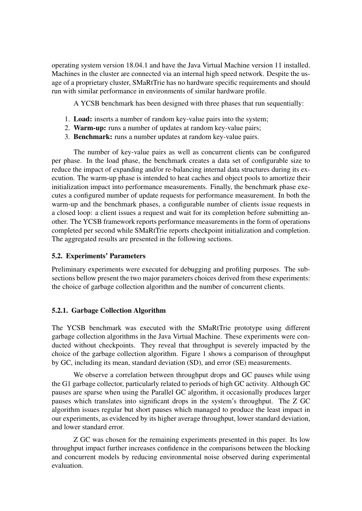operating system version 18.04.1 and have the Java Virtual Machine version 11 installed. Machines in the cluster are connected via an internal high speed network. Despite the usage of a proprietary cluster, SMaRtTrie has no hardware specific requirements and should run with similar performance in environments of similar hardware profile.

A YCSB benchmark has been designed with three phases that run sequentially:

- 1. Load: inserts a number of random key-value pairs into the system;
- 2. Warm-up: runs a number of updates at random key-value pairs;
- 3. Benchmark: runs a number updates at random key-value pairs.

The number of key-value pairs as well as concurrent clients can be configured per phase. In the load phase, the benchmark creates a data set of configurable size to reduce the impact of expanding and/or re-balancing internal data structures during its execution. The warm-up phase is intended to heat caches and object pools to amortize their initialization impact into performance measurements. Finally, the benchmark phase executes a configured number of update requests for performance measurement. In both the warm-up and the benchmark phases, a configurable number of clients issue requests in a closed loop: a client issues a request and wait for its completion before submitting another. The YCSB framework reports performance measurements in the form of operations completed per second while SMaRtTrie reports checkpoint initialization and completion. The aggregated results are presented in the following sections.

#### 5.2. Experiments' Parameters

Preliminary experiments were executed for debugging and profiling purposes. The subsections bellow present the two major parameters choices derived from these experiments: the choice of garbage collection algorithm and the number of concurrent clients.

#### 5.2.1. Garbage Collection Algorithm

The YCSB benchmark was executed with the SMaRtTrie prototype using different garbage collection algorithms in the Java Virtual Machine. These experiments were conducted without checkpoints. They reveal that throughput is severely impacted by the choice of the garbage collection algorithm. Figure 1 shows a comparison of throughput by GC, including its mean, standard deviation (SD), and error (SE) measurements.

We observe a correlation between throughput drops and GC pauses while using the G1 garbage collector, particularly related to periods of high GC activity. Although GC pauses are sparse when using the Parallel GC algorithm, it occasionally produces larger pauses which translates into significant drops in the system's throughput. The Z GC algorithm issues regular but short pauses which managed to produce the least impact in our experiments, as evidenced by its higher average throughput, lower standard deviation, and lower standard error.

Z GC was chosen for the remaining experiments presented in this paper. Its low throughput impact further increases confidence in the comparisons between the blocking and concurrent models by reducing environmental noise observed during experimental evaluation.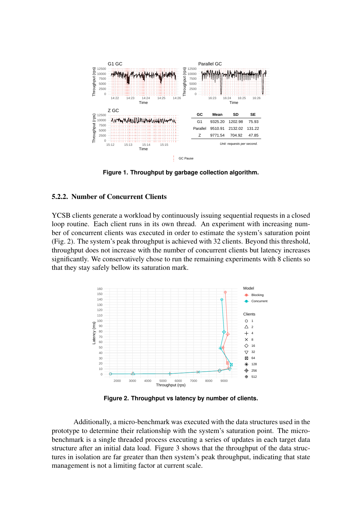

**Figure 1. Throughput by garbage collection algorithm.**

#### 5.2.2. Number of Concurrent Clients

YCSB clients generate a workload by continuously issuing sequential requests in a closed loop routine. Each client runs in its own thread. An experiment with increasing number of concurrent clients was executed in order to estimate the system's saturation point (Fig. 2). The system's peak throughput is achieved with 32 clients. Beyond this threshold, throughput does not increase with the number of concurrent clients but latency increases significantly. We conservatively chose to run the remaining experiments with 8 clients so that they stay safely bellow its saturation mark.



**Figure 2. Throughput vs latency by number of clients.**

Additionally, a micro-benchmark was executed with the data structures used in the prototype to determine their relationship with the system's saturation point. The microbenchmark is a single threaded process executing a series of updates in each target data structure after an initial data load. Figure 3 shows that the throughput of the data structures in isolation are far greater than then system's peak throughput, indicating that state management is not a limiting factor at current scale.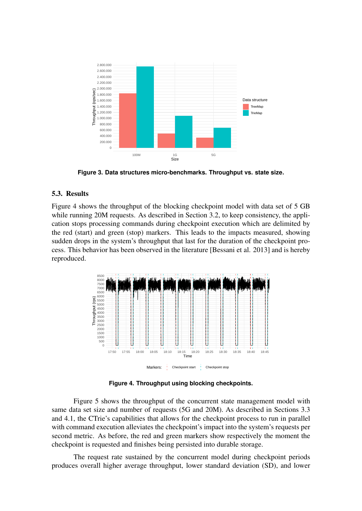

**Figure 3. Data structures micro-benchmarks. Throughput vs. state size.**

#### 5.3. Results

Figure 4 shows the throughput of the blocking checkpoint model with data set of 5 GB while running 20M requests. As described in Section 3.2, to keep consistency, the application stops processing commands during checkpoint execution which are delimited by the red (start) and green (stop) markers. This leads to the impacts measured, showing sudden drops in the system's throughput that last for the duration of the checkpoint process. This behavior has been observed in the literature [Bessani et al. 2013] and is hereby reproduced.



**Figure 4. Throughput using blocking checkpoints.**

Figure 5 shows the throughput of the concurrent state management model with same data set size and number of requests (5G and 20M). As described in Sections 3.3 and 4.1, the CTrie's capabilities that allows for the checkpoint process to run in parallel with command execution alleviates the checkpoint's impact into the system's requests per second metric. As before, the red and green markers show respectively the moment the checkpoint is requested and finishes being persisted into durable storage.

The request rate sustained by the concurrent model during checkpoint periods produces overall higher average throughput, lower standard deviation (SD), and lower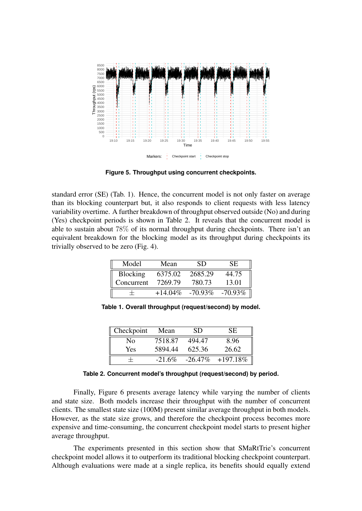

**Figure 5. Throughput using concurrent checkpoints.**

standard error (SE) (Tab. 1). Hence, the concurrent model is not only faster on average than its blocking counterpart but, it also responds to client requests with less latency variability overtime. A further breakdown of throughput observed outside (No) and during (Yes) checkpoint periods is shown in Table 2. It reveals that the concurrent model is able to sustain about 78% of its normal throughput during checkpoints. There isn't an equivalent breakdown for the blocking model as its throughput during checkpoints its trivially observed to be zero (Fig. 4).

| Model           | Mean       | SD.        | SE.        |
|-----------------|------------|------------|------------|
| <b>Blocking</b> | 6375.02    | 2685.29    | 44.75      |
| Concurrent      | 7269.79    | 780.73     | 13.01      |
|                 | $+14.04\%$ | $-70.93\%$ | $-70.93\%$ |

**Table 1. Overall throughput (request/second) by model.**

| Checkpoint     | Mean      | SD.    | SE.                   |
|----------------|-----------|--------|-----------------------|
| N <sub>0</sub> | 7518.87   | 494.47 | 8.96                  |
| <b>Yes</b>     | 5894.44   | 625.36 | 26.62                 |
|                | $-21.6\%$ |        | $-26.47\% + 197.18\%$ |

**Table 2. Concurrent model's throughput (request/second) by period.**

Finally, Figure 6 presents average latency while varying the number of clients and state size. Both models increase their throughput with the number of concurrent clients. The smallest state size (100M) present similar average throughput in both models. However, as the state size grows, and therefore the checkpoint process becomes more expensive and time-consuming, the concurrent checkpoint model starts to present higher average throughput.

The experiments presented in this section show that SMaRtTrie's concurrent checkpoint model allows it to outperform its traditional blocking checkpoint counterpart. Although evaluations were made at a single replica, its benefits should equally extend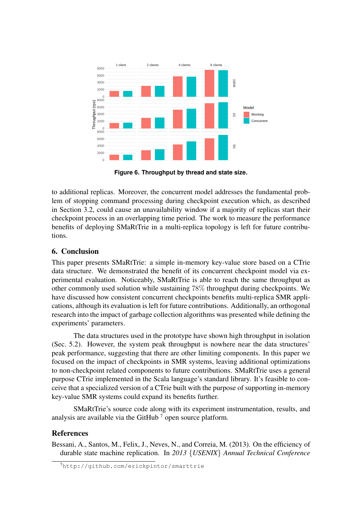

**Figure 6. Throughput by thread and state size.**

to additional replicas. Moreover, the concurrent model addresses the fundamental problem of stopping command processing during checkpoint execution which, as described in Section 3.2, could cause an unavailability window if a majority of replicas start their checkpoint process in an overlapping time period. The work to measure the performance benefits of deploying SMaRtTrie in a multi-replica topology is left for future contributions.

### 6. Conclusion

This paper presents SMaRtTrie: a simple in-memory key-value store based on a CTrie data structure. We demonstrated the benefit of its concurrent checkpoint model via experimental evaluation. Noticeably, SMaRtTrie is able to reach the same throughput as other commonly used solution while sustaining 78% throughput during checkpoints. We have discussed how consistent concurrent checkpoints benefits multi-replica SMR applications, although its evaluation is left for future contributions. Additionally, an orthogonal research into the impact of garbage collection algorithms was presented while defining the experiments' parameters.

The data structures used in the prototype have shown high throughput in isolation (Sec. 5.2). However, the system peak throughput is nowhere near the data structures' peak performance, suggesting that there are other limiting components. In this paper we focused on the impact of checkpoints in SMR systems, leaving additional optimizations to non-checkpoint related components to future contributions. SMaRtTrie uses a general purpose CTrie implemented in the Scala language's standard library. It's feasible to conceive that a specialized version of a CTrie built with the purpose of supporting in-memory key-value SMR systems could expand its benefits further.

SMaRtTrie's source code along with its experiment instrumentation, results, and analysis are available via the GitHub<sup> $7$ </sup> open source platform.

#### References

Bessani, A., Santos, M., Felix, J., Neves, N., and Correia, M. (2013). On the efficiency of durable state machine replication. In *2013* {*USENIX*} *Annual Technical Conference*